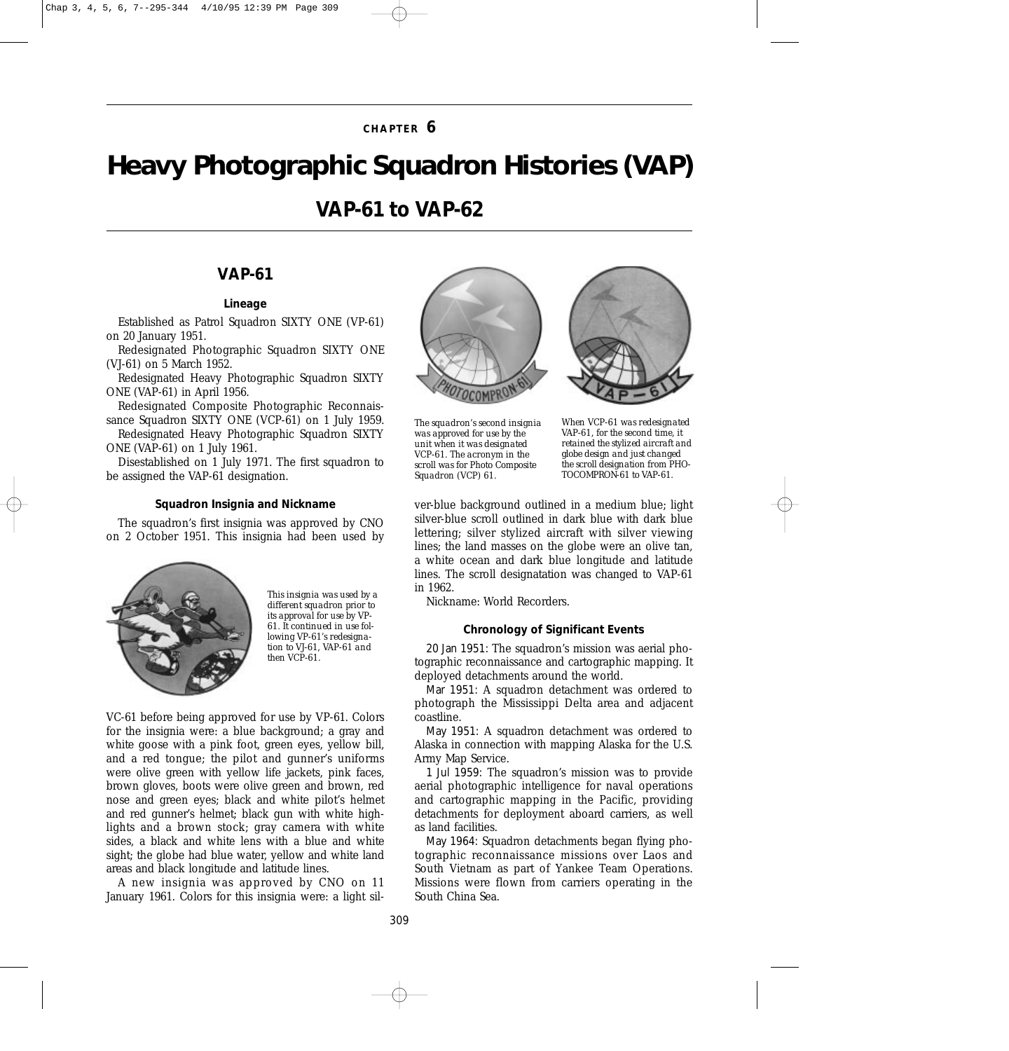## **CHAPTER 6**

# <span id="page-0-0"></span>*Heavy Photographic Squadron Histories (VAP)*

## **VAP-61 to VAP-62**

## **VAP-61**

#### *Lineage*

Established as Patrol Squadron SIXTY ONE (VP-61) on 20 January 1951.

Redesignated Photographic Squadron SIXTY ONE (VJ-61) on 5 March 1952.

Redesignated Heavy Photographic Squadron SIXTY ONE (VAP-61) in April 1956.

Redesignated Composite Photographic Reconnaissance Squadron SIXTY ONE (VCP-61) on 1 July 1959.

Redesignated Heavy Photographic Squadron SIXTY ONE (VAP-61) on 1 July 1961.

Disestablished on 1 July 1971. The first squadron to be assigned the VAP-61 designation.

#### *Squadron Insignia and Nickname*

The squadron's first insignia was approved by CNO on 2 October 1951. This insignia had been used by



*This insignia was used by a different squadron prior to its approval for use by VP-61. It continued in use following VP-61's redesignation to VJ-61, VAP-61 and then VCP-61.*

VC-61 before being approved for use by VP-61. Colors for the insignia were: a blue background; a gray and white goose with a pink foot, green eyes, yellow bill, and a red tongue; the pilot and gunner's uniforms were olive green with yellow life jackets, pink faces, brown gloves, boots were olive green and brown, red nose and green eyes; black and white pilot's helmet and red gunner's helmet; black gun with white highlights and a brown stock; gray camera with white sides, a black and white lens with a blue and white sight; the globe had blue water, yellow and white land areas and black longitude and latitude lines.

A new insignia was approved by CNO on 11 January 1961. Colors for this insignia were: a light sil-





*The squadron's second insignia was approved for use by the unit when it was designated VCP-61. The acronym in the scroll was for Photo Composite Squadron (VCP) 61.*

*When VCP-61 was redesignated VAP-61, for the second time, it retained the stylized aircraft and globe design and just changed the scroll designation from PHO-TOCOMPRON-61 to VAP-61.*

ver-blue background outlined in a medium blue; light silver-blue scroll outlined in dark blue with dark blue lettering; silver stylized aircraft with silver viewing lines; the land masses on the globe were an olive tan, a white ocean and dark blue longitude and latitude lines. The scroll designatation was changed to VAP-61 in 1962.

Nickname: World Recorders.

#### *Chronology of Significant Events*

20 Jan 1951: The squadron's mission was aerial photographic reconnaissance and cartographic mapping. It deployed detachments around the world.

Mar 1951: A squadron detachment was ordered to photograph the Mississippi Delta area and adjacent coastline.

May 1951: A squadron detachment was ordered to Alaska in connection with mapping Alaska for the U.S. Army Map Service.

1 Jul 1959: The squadron's mission was to provide aerial photographic intelligence for naval operations and cartographic mapping in the Pacific, providing detachments for deployment aboard carriers, as well as land facilities.

May 1964: Squadron detachments began flying photographic reconnaissance missions over Laos and South Vietnam as part of Yankee Team Operations. Missions were flown from carriers operating in the South China Sea.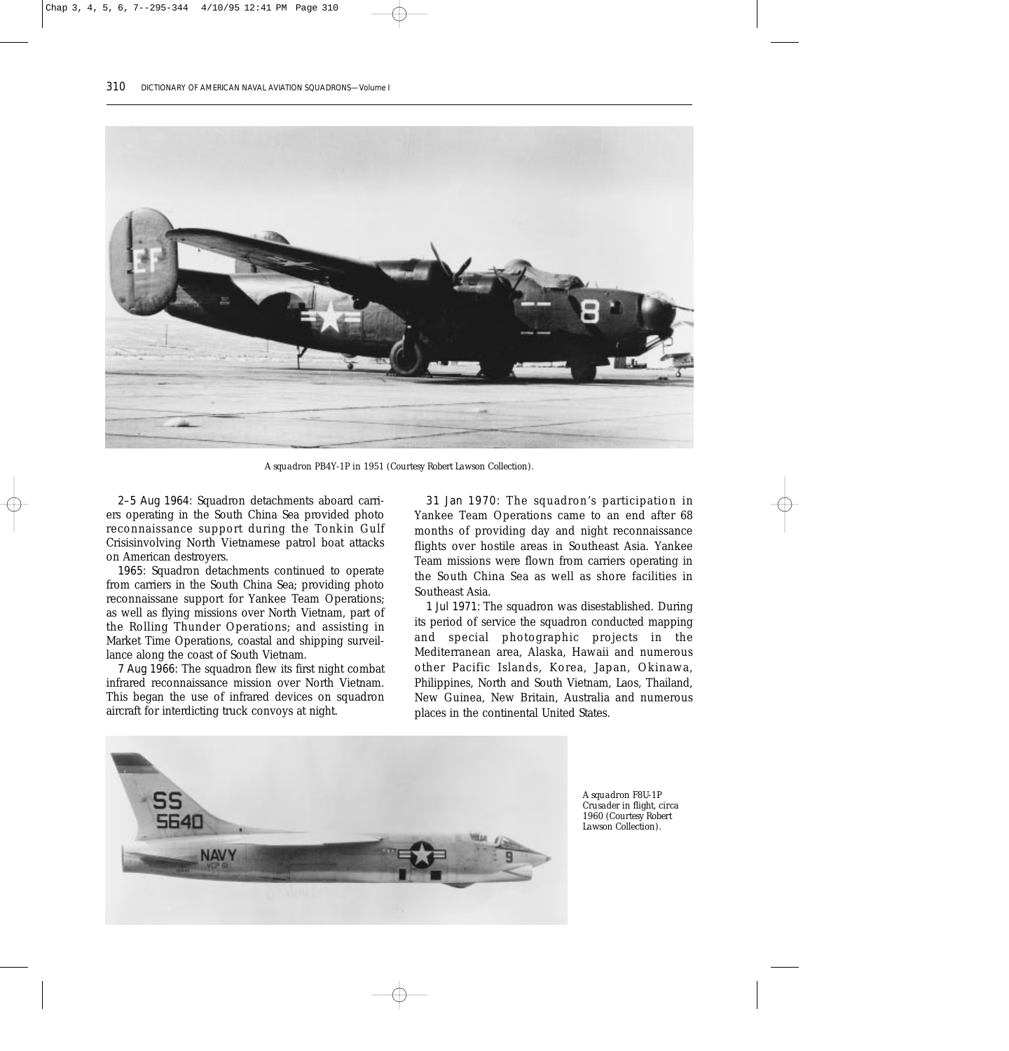

*A squadron PB4Y-1P in 1951 (Courtesy Robert Lawson Collection).*

2–5 Aug 1964: Squadron detachments aboard carriers operating in the South China Sea provided photo reconnaissance support during the Tonkin Gulf Crisisinvolving North Vietnamese patrol boat attacks on American destroyers.

1965: Squadron detachments continued to operate from carriers in the South China Sea; providing photo reconnaissane support for Yankee Team Operations; as well as flying missions over North Vietnam, part of the Rolling Thunder Operations; and assisting in Market Time Operations, coastal and shipping surveillance along the coast of South Vietnam.

7 Aug 1966: The squadron flew its first night combat infrared reconnaissance mission over North Vietnam. This began the use of infrared devices on squadron aircraft for interdicting truck convoys at night.

31 Jan 1970: The squadron's participation in Yankee Team Operations came to an end after 68 months of providing day and night reconnaissance flights over hostile areas in Southeast Asia. Yankee Team missions were flown from carriers operating in the South China Sea as well as shore facilities in Southeast Asia.

1 Jul 1971: The squadron was disestablished. During its period of service the squadron conducted mapping and special photographic projects in the Mediterranean area, Alaska, Hawaii and numerous other Pacific Islands, Korea, Japan, Okinawa, Philippines, North and South Vietnam, Laos, Thailand, New Guinea, New Britain, Australia and numerous places in the continental United States.



*A squadron F8U-1P Crusader in flight, circa 1960 (Courtesy Robert Lawson Collection).*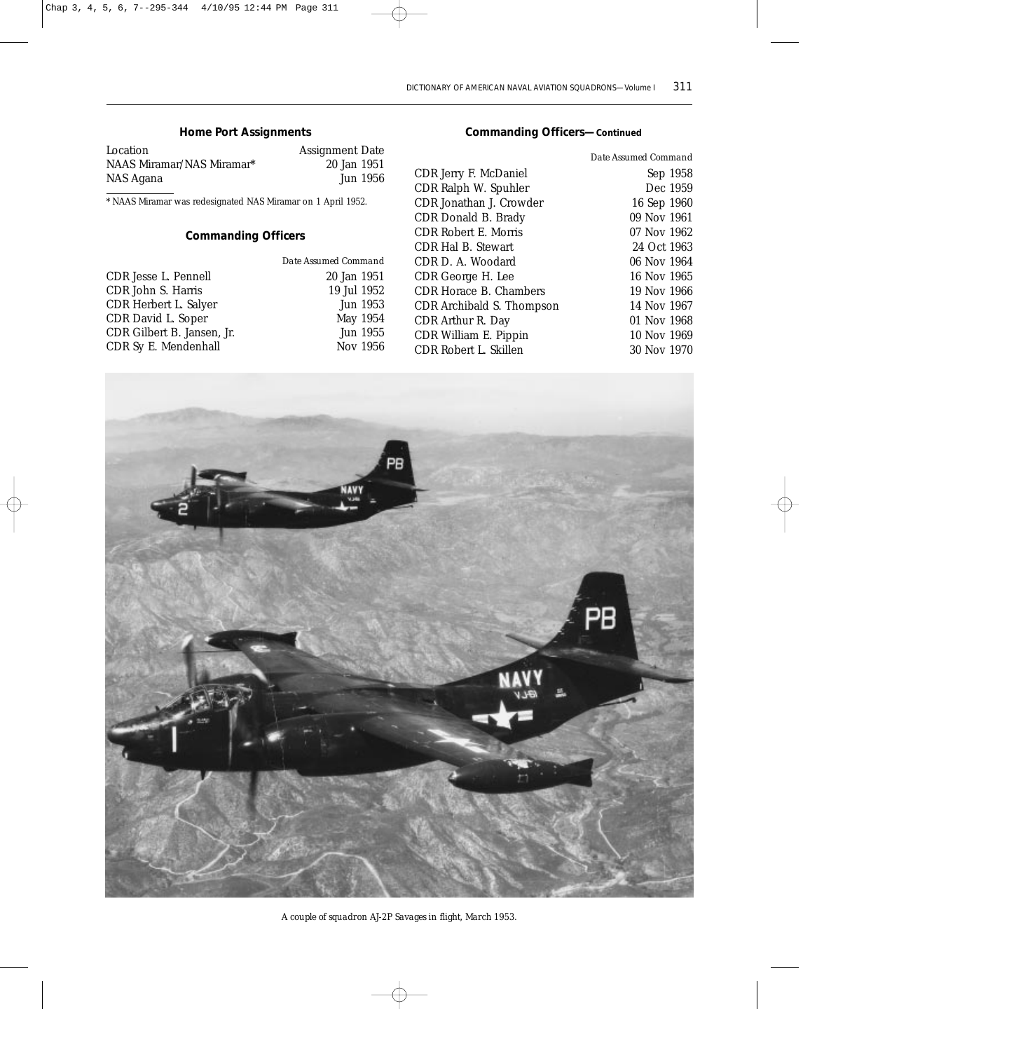## *Home Port Assignments*

| Location                  | <b>Assignment Date</b> |
|---------------------------|------------------------|
| NAAS Miramar/NAS Miramar* | 20 Jan 1951            |
| NAS Agana                 | Jun 1956               |

\* NAAS Miramar was redesignated NAS Miramar on 1 April 1952.

## *Commanding Officers*

| Date Assumed Command |
|----------------------|
| 20 Jan 1951          |
| 19 Jul 1952          |
| Jun 1953             |
| May 1954             |
| Jun 1955             |
| Nov 1956             |
|                      |

## *Commanding Officers—Continued*

|                             | Date Assumed Command |
|-----------------------------|----------------------|
| CDR Jerry F. McDaniel       | Sep 1958             |
| CDR Ralph W. Spuhler        | Dec 1959             |
| CDR Jonathan J. Crowder     | 16 Sep 1960          |
| CDR Donald B. Brady         | 09 Nov 1961          |
| <b>CDR Robert E. Morris</b> | 07 Nov 1962          |
| CDR Hal B. Stewart          | 24 Oct 1963          |
| CDR D. A. Woodard           | 06 Nov 1964          |
| CDR George H. Lee           | 16 Nov 1965          |
| CDR Horace B. Chambers      | 19 Nov 1966          |
| CDR Archibald S. Thompson   | 14 Nov 1967          |
| CDR Arthur R. Day           | 01 Nov 1968          |
| CDR William E. Pippin       | 10 Nov 1969          |
| CDR Robert L. Skillen       | 30 Nov 1970          |



*A couple of squadron AJ-2P Savages in flight, March 1953.*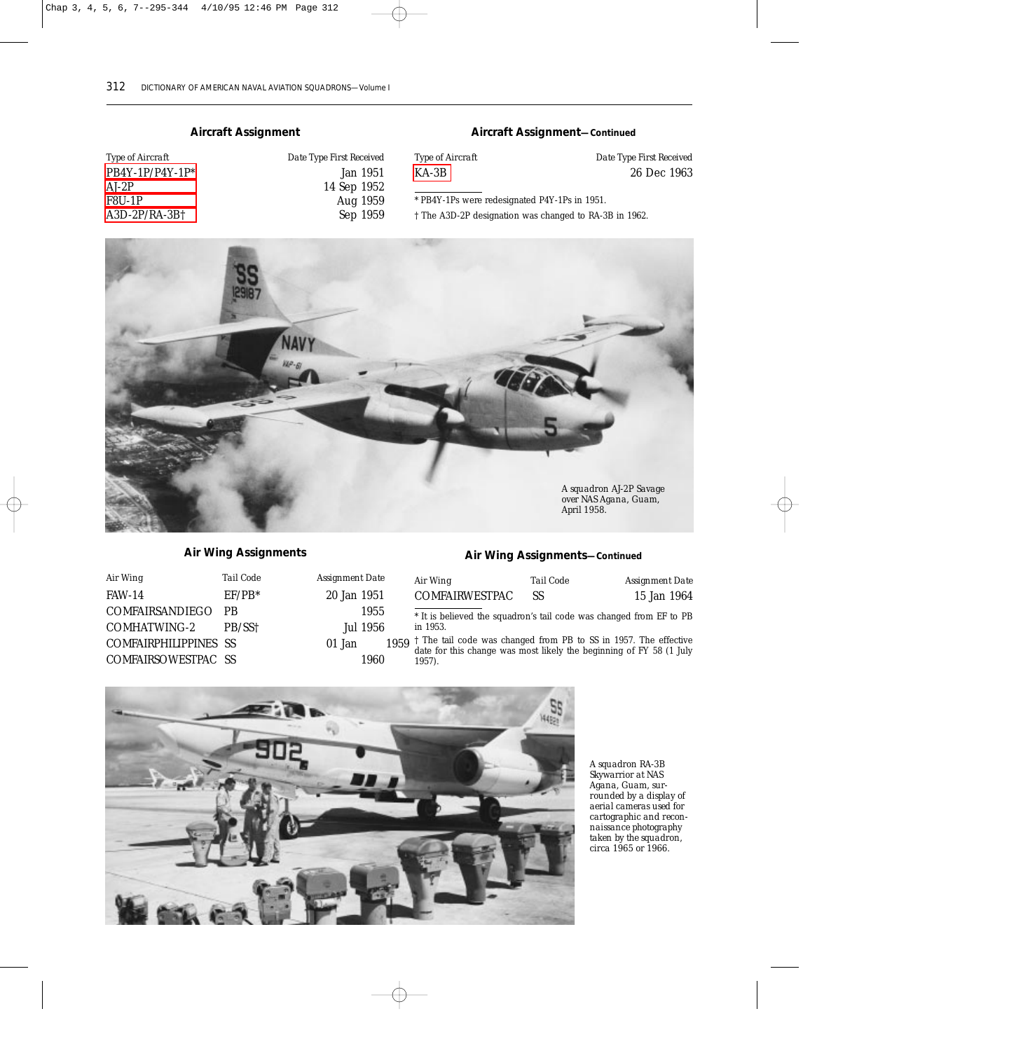#### *Aircraft Assignment*

| <i>Type of Aircraft</i> | Date Type First Received |
|-------------------------|--------------------------|
| $PB4Y-1P/P4Y-1P^*$      | Jan 1951                 |
| AJ-2P                   | 14 Sep 1952              |
| F8U-1P                  | Aug 1959                 |
| A3D-2P/RA-3B†           | Sep 1959                 |

| Type First Received |  |  |
|---------------------|--|--|
| Jan 1951            |  |  |
| 14 Sep 1952         |  |  |
| Aug 1959            |  |  |
| Sep 1959            |  |  |

#### *Aircraft Assignment—Continued*

| <i>Type of Aircraft</i> | Date Type First Received |
|-------------------------|--------------------------|
| KA-3B                   | 26 Dec 1963              |

\* PB4Y-1Ps were redesignated P4Y-1Ps in 1951.

† The A3D-2P designation was changed to RA-3B in 1962.



#### *Air Wing Assignments*

| Air Wing              | Tail Code | Assignment Date |      |
|-----------------------|-----------|-----------------|------|
| <b>FAW-14</b>         | $EF/PB*$  | 20 Jan 1951     |      |
| COMFAIRSANDIEGO PB    |           | 1955            |      |
| COMHATWING-2          | PB/SS†    | Jul 1956        |      |
| COMFAIRPHILIPPINES SS |           | 01 Jan          | 1959 |
| COMFAIRSOWESTPAC SS   |           | 1960            |      |

#### *Air Wing Assignments—Continued*

| Air Wing       | Tail Code | Assignment Date |
|----------------|-----------|-----------------|
| COMFAIRWESTPAC | SS        | 15 Jan 1964     |

\* It is believed the squadron's tail code was changed from EF to PB in 1953.

† The tail code was changed from PB to SS in 1957. The effective date for this change was most likely the beginning of FY 58 (1 July 1957).



*A squadron RA-3B Skywarrior at NAS Agana, Guam, surrounded by a display of aerial cameras used for cartographic and reconnaissance photography taken by the squadron, circa 1965 or 1966.*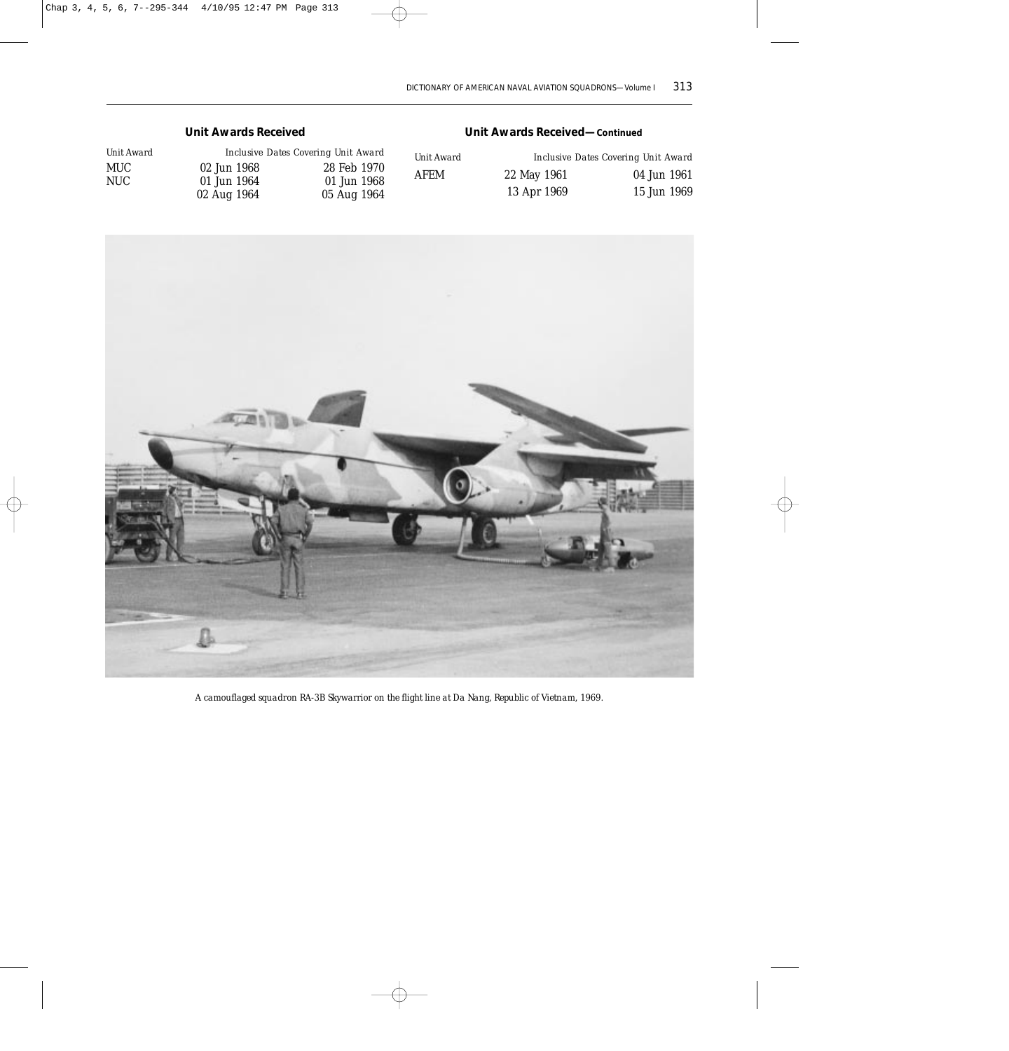#### *Unit Awards Received*

| Unit Award |             | Inclusive Dates Covering Unit Award |
|------------|-------------|-------------------------------------|
| MUC-       | 02 Jun 1968 | 28 Feb 1970                         |
| NUC-       | 01 Jun 1964 | 01 Jun 1968                         |
|            | 02 Aug 1964 | 05 Aug 1964                         |

#### *Unit Awards Received—Continued*

| <i>Unit Award</i> |             | Inclusive Dates Covering Unit Award |
|-------------------|-------------|-------------------------------------|
| <b>AFEM</b>       | 22 May 1961 | 04 Jun 1961                         |
|                   | 13 Apr 1969 | 15 Jun 1969                         |



*A camouflaged squadron RA-3B Skywarrior on the flight line at Da Nang, Republic of Vietnam, 1969.*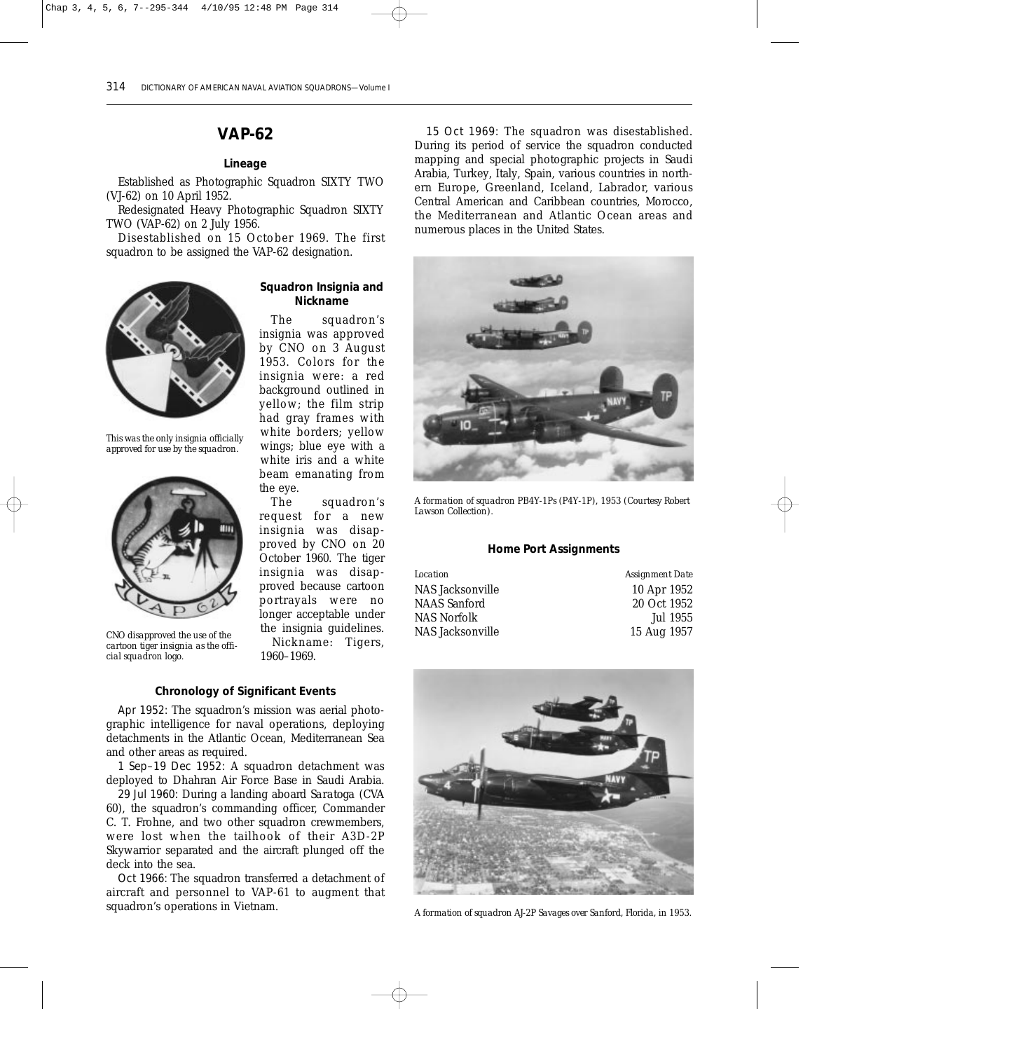## **VAP-62**

#### *Lineage*

Established as Photographic Squadron SIXTY TWO (VJ-62) on 10 April 1952.

Redesignated Heavy Photographic Squadron SIXTY TWO (VAP-62) on 2 July 1956.

Disestablished on 15 October 1969. The first squadron to be assigned the VAP-62 designation.



*This was the only insignia officially approved for use by the squadron.* 



*CNO disapproved the use of the cartoon tiger insignia as the official squadron logo.*

#### *Squadron Insignia and Nickname*

The squadron's insignia was approved by CNO on 3 August 1953. Colors for the insignia were: a red background outlined in yellow; the film strip had gray frames with white borders; yellow wings; blue eye with a white iris and a white beam emanating from the eye.

The squadron's request for a new insignia was disapproved by CNO on 20 October 1960. The tiger insignia was disapproved because cartoon portrayals were no longer acceptable under the insignia guidelines. Nickname: Tigers, 1960–1969.

*Chronology of Significant Events*

Apr 1952: The squadron's mission was aerial photographic intelligence for naval operations, deploying detachments in the Atlantic Ocean, Mediterranean Sea and other areas as required.

1 Sep–19 Dec 1952: A squadron detachment was deployed to Dhahran Air Force Base in Saudi Arabia.

29 Jul 1960: During a landing aboard *Saratoga* (CVA 60), the squadron's commanding officer, Commander C. T. Frohne, and two other squadron crewmembers, were lost when the tailhook of their A3D-2P Skywarrior separated and the aircraft plunged off the deck into the sea.

Oct 1966: The squadron transferred a detachment of aircraft and personnel to VAP-61 to augment that squadron's operations in Vietnam.

15 Oct 1969: The squadron was disestablished. During its period of service the squadron conducted mapping and special photographic projects in Saudi Arabia, Turkey, Italy, Spain, various countries in northern Europe, Greenland, Iceland, Labrador, various Central American and Caribbean countries, Morocco, the Mediterranean and Atlantic Ocean areas and numerous places in the United States.



*A formation of squadron PB4Y-1Ps (P4Y-1P), 1953 (Courtesy Robert Lawson Collection).*

#### *Home Port Assignments*

| Location         | Assignment Date |
|------------------|-----------------|
| NAS Jacksonville | 10 Apr 1952     |
| NAAS Sanford     | 20 Oct 1952     |
| NAS Norfolk      | Jul 1955        |
| NAS Jacksonville | 15 Aug 1957     |
|                  |                 |



*A formation of squadron AJ-2P Savages over Sanford, Florida, in 1953.*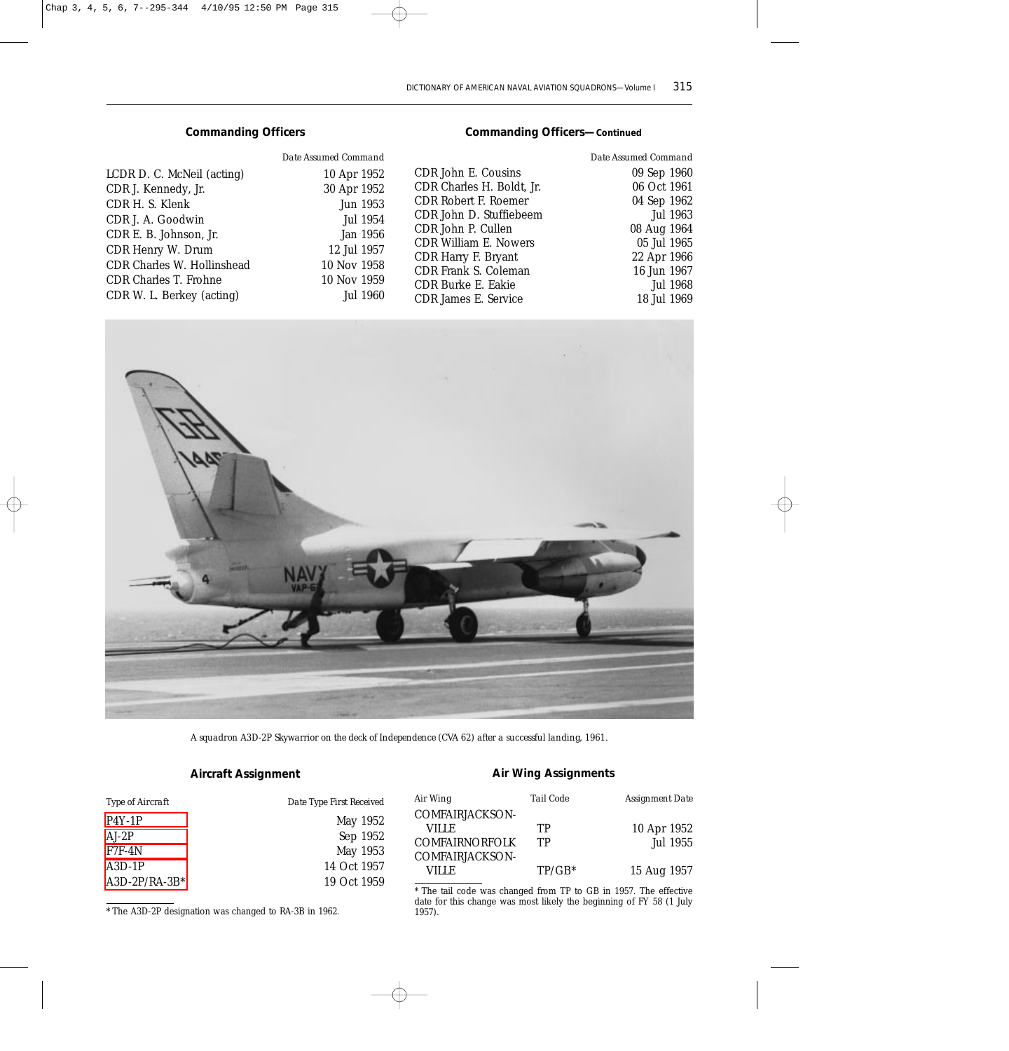#### *Commanding Officers*

|                              | Date Assumed Command |
|------------------------------|----------------------|
| LCDR D. C. McNeil (acting)   | 10 Apr 1952          |
| CDR J. Kennedy, Jr.          | 30 Apr 1952          |
| CDR H. S. Klenk              | Jun 1953             |
| CDR J. A. Goodwin            | Jul 1954             |
| CDR E. B. Johnson, Jr.       | Jan 1956             |
| CDR Henry W. Drum            | 12 Jul 1957          |
| CDR Charles W. Hollinshead   | 10 Nov 1958          |
| <b>CDR Charles T. Frohne</b> | 10 Nov 1959          |
| CDR W. L. Berkey (acting)    | Jul 1960             |

#### *Commanding Officers—Continued*

| Date Assumed Command |
|----------------------|
| 09 Sep 1960          |
| 06 Oct 1961          |
| 04 Sep 1962          |
| Jul 1963             |
| 08 Aug 1964          |
| 05 Jul 1965          |
| 22 Apr 1966          |
| 16 Jun 1967          |
| Jul 1968             |
| 18 Jul 1969          |
|                      |



*A squadron A3D-2P Skywarrior on the deck of Independence (CVA 62) after a successful landing, 1961.*

## *Aircraft Assignment*

| Type of Aircraft | Date Type First Received |
|------------------|--------------------------|
| $P4Y-1P$         | May 1952                 |
| $AI-2P$          | Sep 1952                 |
| $F7F-4N$         | May 1953                 |
| $A3D-1P$         | 14 Oct 1957              |
| $A3D-2P/RA-3B^*$ | 19 Oct 1959              |

\* The A3D-2P designation was changed to RA-3B in 1962.

#### *Air Wing Assignments*

| Air Wing              | Tail Code | Assignment Date |
|-----------------------|-----------|-----------------|
| COMFAIRJACKSON-       |           |                 |
| VILLE.                | TР        | 10 Apr 1952     |
| <b>COMFAIRNORFOLK</b> | TР        | Jul 1955        |
| COMFAIRIACKSON-       |           |                 |
| VILLE                 | $TP/GB^*$ | 15 Aug 1957     |
|                       |           |                 |

\* The tail code was changed from TP to GB in 1957. The effective date for this change was most likely the beginning of FY 58 (1 July 1957).